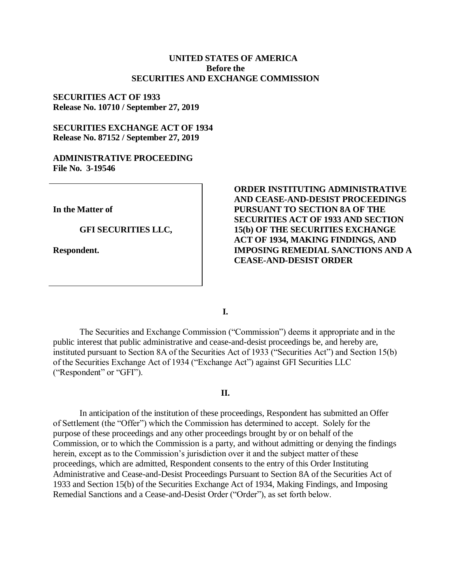# **UNITED STATES OF AMERICA Before the SECURITIES AND EXCHANGE COMMISSION**

# **SECURITIES ACT OF 1933 Release No. 10710 / September 27, 2019**

# **SECURITIES EXCHANGE ACT OF 1934 Release No. 87152 / September 27, 2019**

# **ADMINISTRATIVE PROCEEDING File No. 3-19546**

**In the Matter of**

### **GFI SECURITIES LLC,**

**Respondent.**

# **ORDER INSTITUTING ADMINISTRATIVE AND CEASE-AND-DESIST PROCEEDINGS PURSUANT TO SECTION 8A OF THE SECURITIES ACT OF 1933 AND SECTION 15(b) OF THE SECURITIES EXCHANGE ACT OF 1934, MAKING FINDINGS, AND IMPOSING REMEDIAL SANCTIONS AND A CEASE-AND-DESIST ORDER**

**I.**

The Securities and Exchange Commission ("Commission") deems it appropriate and in the public interest that public administrative and cease-and-desist proceedings be, and hereby are, instituted pursuant to Section 8A of the Securities Act of 1933 ("Securities Act") and Section 15(b) of the Securities Exchange Act of 1934 ("Exchange Act") against GFI Securities LLC ("Respondent" or "GFI").

# **II.**

In anticipation of the institution of these proceedings, Respondent has submitted an Offer of Settlement (the "Offer") which the Commission has determined to accept. Solely for the purpose of these proceedings and any other proceedings brought by or on behalf of the Commission, or to which the Commission is a party, and without admitting or denying the findings herein, except as to the Commission's jurisdiction over it and the subject matter of these proceedings, which are admitted, Respondent consents to the entry of this Order Instituting Administrative and Cease-and-Desist Proceedings Pursuant to Section 8A of the Securities Act of 1933 and Section 15(b) of the Securities Exchange Act of 1934, Making Findings, and Imposing Remedial Sanctions and a Cease-and-Desist Order ("Order"), as set forth below.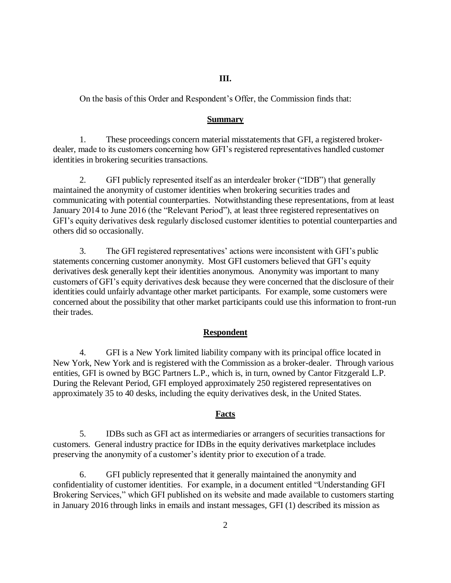### **III.**

On the basis of this Order and Respondent's Offer, the Commission finds that:

#### **Summary**

1. These proceedings concern material misstatements that GFI, a registered brokerdealer, made to its customers concerning how GFI's registered representatives handled customer identities in brokering securities transactions.

2. GFI publicly represented itself as an interdealer broker ("IDB") that generally maintained the anonymity of customer identities when brokering securities trades and communicating with potential counterparties. Notwithstanding these representations, from at least January 2014 to June 2016 (the "Relevant Period"), at least three registered representatives on GFI's equity derivatives desk regularly disclosed customer identities to potential counterparties and others did so occasionally.

3. The GFI registered representatives' actions were inconsistent with GFI's public statements concerning customer anonymity. Most GFI customers believed that GFI's equity derivatives desk generally kept their identities anonymous. Anonymity was important to many customers of GFI's equity derivatives desk because they were concerned that the disclosure of their identities could unfairly advantage other market participants. For example, some customers were concerned about the possibility that other market participants could use this information to front-run their trades.

### **Respondent**

4. GFI is a New York limited liability company with its principal office located in New York, New York and is registered with the Commission as a broker-dealer. Through various entities, GFI is owned by BGC Partners L.P., which is, in turn, owned by Cantor Fitzgerald L.P. During the Relevant Period, GFI employed approximately 250 registered representatives on approximately 35 to 40 desks, including the equity derivatives desk, in the United States.

### **Facts**

5. IDBs such as GFI act as intermediaries or arrangers of securities transactions for customers. General industry practice for IDBs in the equity derivatives marketplace includes preserving the anonymity of a customer's identity prior to execution of a trade.

6. GFI publicly represented that it generally maintained the anonymity and confidentiality of customer identities. For example, in a document entitled "Understanding GFI Brokering Services," which GFI published on its website and made available to customers starting in January 2016 through links in emails and instant messages, GFI (1) described its mission as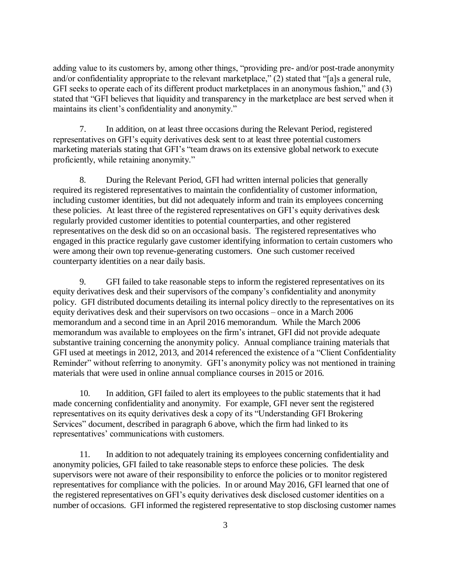adding value to its customers by, among other things, "providing pre- and/or post-trade anonymity and/or confidentiality appropriate to the relevant marketplace," (2) stated that "[a]s a general rule, GFI seeks to operate each of its different product marketplaces in an anonymous fashion," and (3) stated that "GFI believes that liquidity and transparency in the marketplace are best served when it maintains its client's confidentiality and anonymity."

7. In addition, on at least three occasions during the Relevant Period, registered representatives on GFI's equity derivatives desk sent to at least three potential customers marketing materials stating that GFI's "team draws on its extensive global network to execute proficiently, while retaining anonymity."

8. During the Relevant Period, GFI had written internal policies that generally required its registered representatives to maintain the confidentiality of customer information, including customer identities, but did not adequately inform and train its employees concerning these policies. At least three of the registered representatives on GFI's equity derivatives desk regularly provided customer identities to potential counterparties, and other registered representatives on the desk did so on an occasional basis. The registered representatives who engaged in this practice regularly gave customer identifying information to certain customers who were among their own top revenue-generating customers. One such customer received counterparty identities on a near daily basis.

9. GFI failed to take reasonable steps to inform the registered representatives on its equity derivatives desk and their supervisors of the company's confidentiality and anonymity policy. GFI distributed documents detailing its internal policy directly to the representatives on its equity derivatives desk and their supervisors on two occasions – once in a March 2006 memorandum and a second time in an April 2016 memorandum. While the March 2006 memorandum was available to employees on the firm's intranet, GFI did not provide adequate substantive training concerning the anonymity policy. Annual compliance training materials that GFI used at meetings in 2012, 2013, and 2014 referenced the existence of a "Client Confidentiality Reminder" without referring to anonymity. GFI's anonymity policy was not mentioned in training materials that were used in online annual compliance courses in 2015 or 2016.

10. In addition, GFI failed to alert its employees to the public statements that it had made concerning confidentiality and anonymity. For example, GFI never sent the registered representatives on its equity derivatives desk a copy of its "Understanding GFI Brokering Services" document, described in paragraph 6 above, which the firm had linked to its representatives' communications with customers.

11. In addition to not adequately training its employees concerning confidentiality and anonymity policies, GFI failed to take reasonable steps to enforce these policies. The desk supervisors were not aware of their responsibility to enforce the policies or to monitor registered representatives for compliance with the policies. In or around May 2016, GFI learned that one of the registered representatives on GFI's equity derivatives desk disclosed customer identities on a number of occasions. GFI informed the registered representative to stop disclosing customer names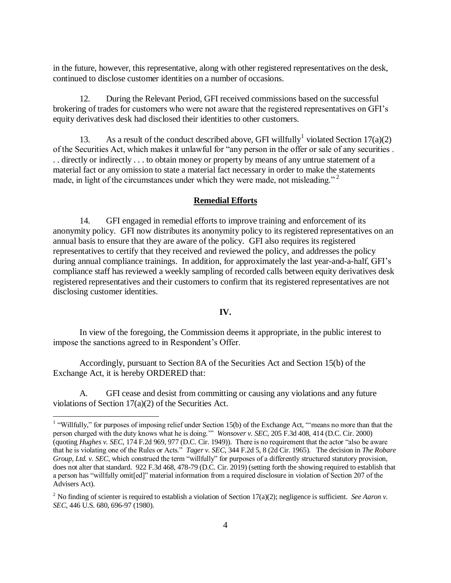in the future, however, this representative, along with other registered representatives on the desk, continued to disclose customer identities on a number of occasions.

12. During the Relevant Period, GFI received commissions based on the successful brokering of trades for customers who were not aware that the registered representatives on GFI's equity derivatives desk had disclosed their identities to other customers.

13. As a result of the conduct described above, GFI willfully<sup>1</sup> violated Section 17(a)(2) of the Securities Act, which makes it unlawful for "any person in the offer or sale of any securities . . . directly or indirectly . . . to obtain money or property by means of any untrue statement of a material fact or any omission to state a material fact necessary in order to make the statements made, in light of the circumstances under which they were made, not misleading."<sup>2</sup>

### **Remedial Efforts**

14. GFI engaged in remedial efforts to improve training and enforcement of its anonymity policy. GFI now distributes its anonymity policy to its registered representatives on an annual basis to ensure that they are aware of the policy. GFI also requires its registered representatives to certify that they received and reviewed the policy, and addresses the policy during annual compliance trainings. In addition, for approximately the last year-and-a-half, GFI's compliance staff has reviewed a weekly sampling of recorded calls between equity derivatives desk registered representatives and their customers to confirm that its registered representatives are not disclosing customer identities.

### **IV.**

In view of the foregoing, the Commission deems it appropriate, in the public interest to impose the sanctions agreed to in Respondent's Offer.

Accordingly, pursuant to Section 8A of the Securities Act and Section 15(b) of the Exchange Act, it is hereby ORDERED that:

 $\overline{a}$ 

A. GFI cease and desist from committing or causing any violations and any future violations of Section 17(a)(2) of the Securities Act.

<sup>&</sup>lt;sup>1</sup> "Willfully," for purposes of imposing relief under Section 15(b) of the Exchange Act, "means no more than that the person charged with the duty knows what he is doing.'" *Wonsover v. SEC*, 205 F.3d 408, 414 (D.C. Cir. 2000) (quoting *Hughes v. SEC*, 174 F.2d 969, 977 (D.C. Cir. 1949)). There is no requirement that the actor "also be aware that he is violating one of the Rules or Acts." *Tager v. SEC*, 344 F.2d 5, 8 (2d Cir. 1965). The decision in *The Robare Group, Ltd. v. SEC*, which construed the term "willfully" for purposes of a differently structured statutory provision, does not alter that standard. 922 F.3d 468, 478-79 (D.C. Cir. 2019) (setting forth the showing required to establish that a person has "willfully omit[ed]" material information from a required disclosure in violation of Section 207 of the Advisers Act).

<sup>&</sup>lt;sup>2</sup> No finding of scienter is required to establish a violation of Section  $17(a)(2)$ ; negligence is sufficient. *See Aaron v*. *SEC*, 446 U.S. 680, 696-97 (1980).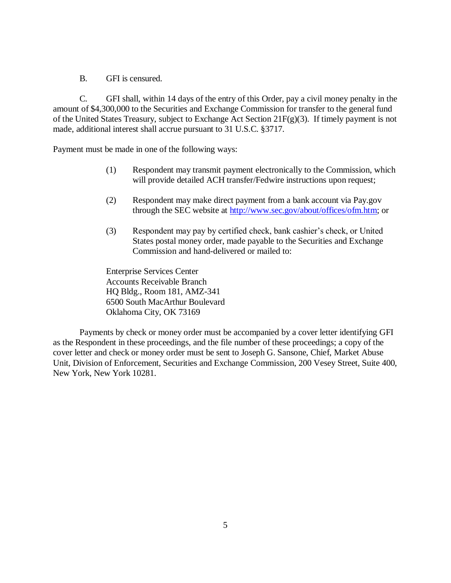B. GFI is censured.

C. GFI shall, within 14 days of the entry of this Order, pay a civil money penalty in the amount of \$4,300,000 to the Securities and Exchange Commission for transfer to the general fund of the United States Treasury, subject to Exchange Act Section 21F(g)(3). If timely payment is not made, additional interest shall accrue pursuant to 31 U.S.C. §3717.

Payment must be made in one of the following ways:

- (1) Respondent may transmit payment electronically to the Commission, which will provide detailed ACH transfer/Fedwire instructions upon request;
- (2) Respondent may make direct payment from a bank account via Pay.gov through the SEC website at [http://www.sec.gov/about/offices/ofm.htm;](http://www.sec.gov/about/offices/ofm.htm) or
- (3) Respondent may pay by certified check, bank cashier's check, or United States postal money order, made payable to the Securities and Exchange Commission and hand-delivered or mailed to:

Enterprise Services Center Accounts Receivable Branch HQ Bldg., Room 181, AMZ-341 6500 South MacArthur Boulevard Oklahoma City, OK 73169

Payments by check or money order must be accompanied by a cover letter identifying GFI as the Respondent in these proceedings, and the file number of these proceedings; a copy of the cover letter and check or money order must be sent to Joseph G. Sansone, Chief, Market Abuse Unit, Division of Enforcement, Securities and Exchange Commission, 200 Vesey Street, Suite 400, New York, New York 10281.